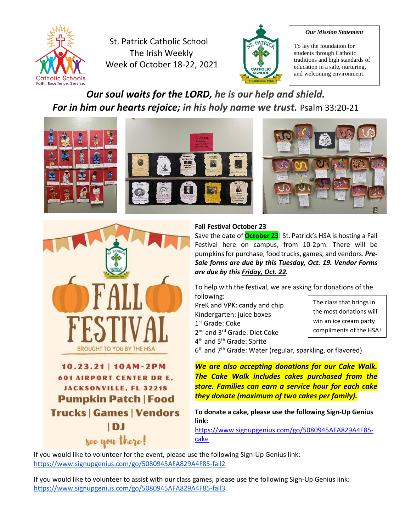

St. Patrick Catholic School The Irish Weekly Week of October 18-22, 2021



#### *Our Mission Statement*

To lay the foundation for students through Catholic traditions and high standards of education in a safe, nurturing, and welcoming environment.

## *Our soul waits for the LORD, he is our help and shield. For in him our hearts rejoice; in his holy name we trust.* Psalm 33:20-21





# 10.23.21 | 10AM-2PM **601 AIRPORT CENTER DR E. JACKSONVILLE, FL 32218 Pumpkin Patch | Food Trucks | Games | Vendors** IDJ see you there!

#### **Fall Festival October 23**

Save the date of **October 23**! St. Patrick's HSA is hosting a Fall Festival here on campus, from 10-2pm. There will be pumpkins for purchase, food trucks, games, and vendors. *Pre-Sale forms are due by this Tuesday, Oct. 19. Vendor Forms are due by this Friday, Oct. 22.*

To help with the festival, we are asking for donations of the following:

PreK and VPK: candy and chip Kindergarten: juice boxes 1 st Grade: Coke 2<sup>nd</sup> and 3<sup>rd</sup> Grade: Diet Coke 4<sup>th</sup> and 5<sup>th</sup> Grade: Sprite

The class that brings in the most donations will win an ice cream party compliments of the HSA!

6<sup>th</sup> and 7<sup>th</sup> Grade: Water (regular, sparkling, or flavored)

*We are also accepting donations for our Cake Walk. The Cake Walk includes cakes purchased from the store. Families can earn a service hour for each cake they donate (maximum of two cakes per family).*

**To donate a cake, please use the following Sign-Up Genius link:**

[https://www.signupgenius.com/go/5080945AFA829A4F85](https://www.signupgenius.com/go/5080945AFA829A4F85-cake) [cake](https://www.signupgenius.com/go/5080945AFA829A4F85-cake)

If you would like to volunteer for the event, please use the following Sign-Up Genius link: <https://www.signupgenius.com/go/5080945AFA829A4F85-fall2>

If you would like to volunteer to assist with our class games, please use the following Sign-Up Genius link: <https://www.signupgenius.com/go/5080945AFA829A4F85-fall3>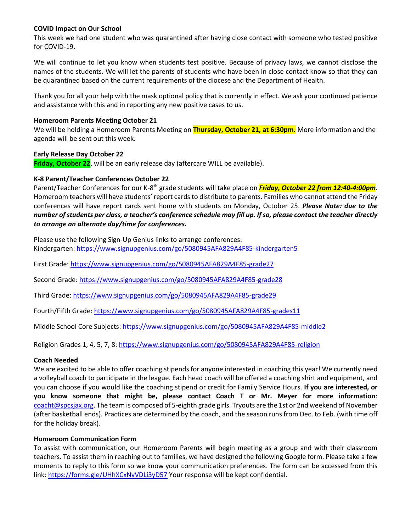#### **COVID Impact on Our School**

This week we had one student who was quarantined after having close contact with someone who tested positive for COVID-19.

We will continue to let you know when students test positive. Because of privacy laws, we cannot disclose the names of the students. We will let the parents of students who have been in close contact know so that they can be quarantined based on the current requirements of the diocese and the Department of Health.

Thank you for all your help with the mask optional policy that is currently in effect. We ask your continued patience and assistance with this and in reporting any new positive cases to us.

#### **Homeroom Parents Meeting October 21**

We will be holding a Homeroom Parents Meeting on **Thursday, October 21, at 6:30pm.** More information and the agenda will be sent out this week.

#### **Early Release Day October 22**

**Friday, October 22**, will be an early release day (aftercare WILL be available).

#### **K-8 Parent/Teacher Conferences October 22**

Parent/Teacher Conferences for our K-8<sup>th</sup> grade students will take place on <mark>Friday, October 22 from 12:40-4:00pm</mark>. Homeroom teachers will have students' report cards to distribute to parents. Families who cannot attend the Friday conferences will have report cards sent home with students on Monday, October 25. *Please Note: due to the number of students per class, a teacher's conference schedule may fill up. If so, please contact the teacher directly to arrange an alternate day/time for conferences.*

Please use the following Sign-Up Genius links to arrange conferences: Kindergarten:<https://www.signupgenius.com/go/5080945AFA829A4F85-kindergarten5>

First Grade:<https://www.signupgenius.com/go/5080945AFA829A4F85-grade27>

Second Grade:<https://www.signupgenius.com/go/5080945AFA829A4F85-grade28>

Third Grade:<https://www.signupgenius.com/go/5080945AFA829A4F85-grade29>

Fourth/Fifth Grade:<https://www.signupgenius.com/go/5080945AFA829A4F85-grades11>

Middle School Core Subjects[: https://www.signupgenius.com/go/5080945AFA829A4F85-middle2](https://www.signupgenius.com/go/5080945AFA829A4F85-middle2)

Religion Grades 1, 4, 5, 7, 8:<https://www.signupgenius.com/go/5080945AFA829A4F85-religion>

#### **Coach Needed**

We are excited to be able to offer coaching stipends for anyone interested in coaching this year! We currently need a volleyball coach to participate in the league. Each head coach will be offered a coaching shirt and equipment, and you can choose if you would like the coaching stipend or credit for Family Service Hours. **If you are interested, or you know someone that might be, please contact Coach T or Mr. Meyer for more information**: [coacht@spcsjax.org.](mailto:coacht@spcsjax.org) The team is composed of 5-eighth grade girls. Tryouts are the 1st or 2nd weekend of November (after basketball ends). Practices are determined by the coach, and the season runs from Dec. to Feb. (with time off for the holiday break).

#### **Homeroom Communication Form**

To assist with communication, our Homeroom Parents will begin meeting as a group and with their classroom teachers. To assist them in reaching out to families, we have designed the following Google form. Please take a few moments to reply to this form so we know your communication preferences. The form can be accessed from this link[: https://forms.gle/UHhXCxNvVDLi3yD57](https://forms.gle/UHhXCxNvVDLi3yD57) Your response will be kept confidential.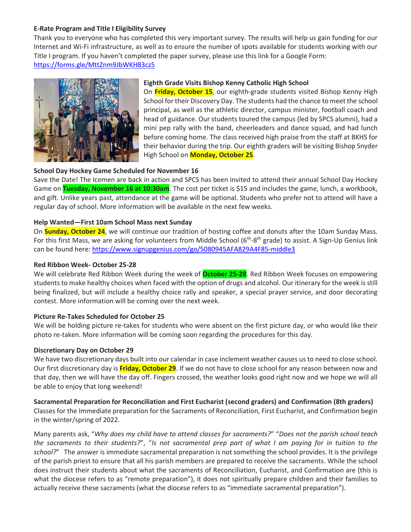#### **E-Rate Program and Title I Eligibility Survey**

Thank you to everyone who has completed this very important survey. The results will help us gain funding for our Internet and Wi-Fi infrastructure, as well as to ensure the number of spots available for students working with our Title I program. If you haven't completed the paper survey, please use this link for a Google Form: <https://forms.gle/MttZnm9JbWKH83cz5>



### **Eighth Grade Visits Bishop Kenny Catholic High School**

On **Friday, October 15**, our eighth-grade students visited Bishop Kenny High School for their Discovery Day. The students had the chance to meet the school principal, as well as the athletic director, campus minister, football coach and head of guidance. Our students toured the campus (led by SPCS alumni), had a mini pep rally with the band, cheerleaders and dance squad, and had lunch before coming home. The class received high praise from the staff at BKHS for their behavior during the trip. Our eighth graders will be visiting Bishop Snyder High School on **Monday, October 25**.

#### **School Day Hockey Game Scheduled for November 16**

Save the Date! The Icemen are back in action and SPCS has been invited to attend their annual School Day Hockey Game on **Tuesday, November 16 at 10:30am**. The cost per ticket is \$15 and includes the game, lunch, a workbook, and gift. Unlike years past, attendance at the game will be optional. Students who prefer not to attend will have a regular day of school. More information will be available in the next few weeks.

#### **Help Wanted—First 10am School Mass next Sunday**

On **Sunday, October 24**, we will continue our tradition of hosting coffee and donuts after the 10am Sunday Mass. For this first Mass, we are asking for volunteers from Middle School (6<sup>th</sup>-8<sup>th</sup> grade) to assist. A Sign-Up Genius link can be found here:<https://www.signupgenius.com/go/5080945AFA829A4F85-middle3>

#### **Red Ribbon Week- October 25-28**

We will celebrate Red Ribbon Week during the week of **October 25-28**. Red Ribbon Week focuses on empowering students to make healthy choices when faced with the option of drugs and alcohol. Our itinerary for the week is still being finalized, but will include a healthy choice rally and speaker, a special prayer service, and door decorating contest. More information will be coming over the next week.

## **Picture Re-Takes Scheduled for October 25**

We will be holding picture re-takes for students who were absent on the first picture day, or who would like their photo re-taken. More information will be coming soon regarding the procedures for this day.

#### **Discretionary Day on October 29**

We have two discretionary days built into our calendar in case inclement weather causes us to need to close school. Our first discretionary day is **Friday, October 29**. If we do not have to close school for any reason between now and that day, then we will have the day off. Fingers crossed, the weather looks good right now and we hope we will all be able to enjoy that long weekend!

**Sacramental Preparation for Reconciliation and First Eucharist (second graders) and Confirmation (8th graders)** Classes for the Immediate preparation for the Sacraments of Reconciliation, First Eucharist, and Confirmation begin in the winter/spring of 2022.

Many parents ask, "*Why does my child have to attend classes for sacraments?*" "*Does not the parish school teach the sacraments to their students?*", "*Is not sacramental prep part of what I am paying for in tuition to the school?*" The answer is immediate sacramental preparation is not something the school provides. It is the privilege of the parish priest to ensure that all his parish members are prepared to receive the sacraments. While the school does instruct their students about what the sacraments of Reconciliation, Eucharist, and Confirmation are (this is what the diocese refers to as "remote preparation"), it does not spiritually prepare children and their families to actually receive these sacraments (what the diocese refers to as "immediate sacramental preparation").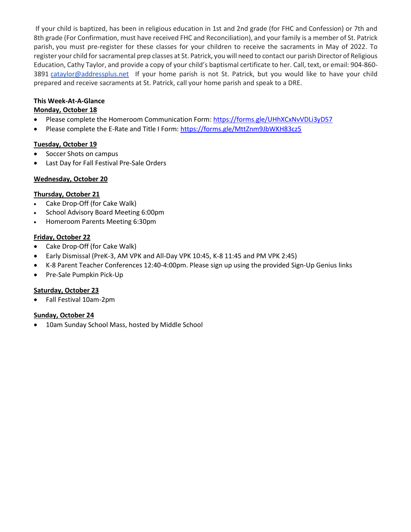If your child is baptized, has been in religious education in 1st and 2nd grade (for FHC and Confession) or 7th and 8th grade (For Confirmation, must have received FHC and Reconciliation), and your family is a member of St. Patrick parish, you must pre-register for these classes for your children to receive the sacraments in May of 2022. To register your child for sacramental prep classes at St. Patrick, you will need to contact our parish Director of Religious Education, Cathy Taylor, and provide a copy of your child's baptismal certificate to her. Call, text, or email: 904-860- 3891 [cataylor@addressplus.net](mailto:cataylor@addressplus.net) If your home parish is not St. Patrick, but you would like to have your child prepared and receive sacraments at St. Patrick, call your home parish and speak to a DRE.

## **This Week-At-A-Glance**

### **Monday, October 18**

- Please complete the Homeroom Communication Form:<https://forms.gle/UHhXCxNvVDLi3yD57>
- Please complete the E-Rate and Title I Form:<https://forms.gle/MttZnm9JbWKH83cz5>

#### **Tuesday, October 19**

- Soccer Shots on campus
- Last Day for Fall Festival Pre-Sale Orders

### **Wednesday, October 20**

#### **Thursday, October 21**

- Cake Drop-Off (for Cake Walk)
- School Advisory Board Meeting 6:00pm
- Homeroom Parents Meeting 6:30pm

### **Friday, October 22**

- Cake Drop-Off (for Cake Walk)
- Early Dismissal (PreK-3, AM VPK and All-Day VPK 10:45, K-8 11:45 and PM VPK 2:45)
- K-8 Parent Teacher Conferences 12:40-4:00pm. Please sign up using the provided Sign-Up Genius links
- Pre-Sale Pumpkin Pick-Up

#### **Saturday, October 23**

• Fall Festival 10am-2pm

#### **Sunday, October 24**

• 10am Sunday School Mass, hosted by Middle School